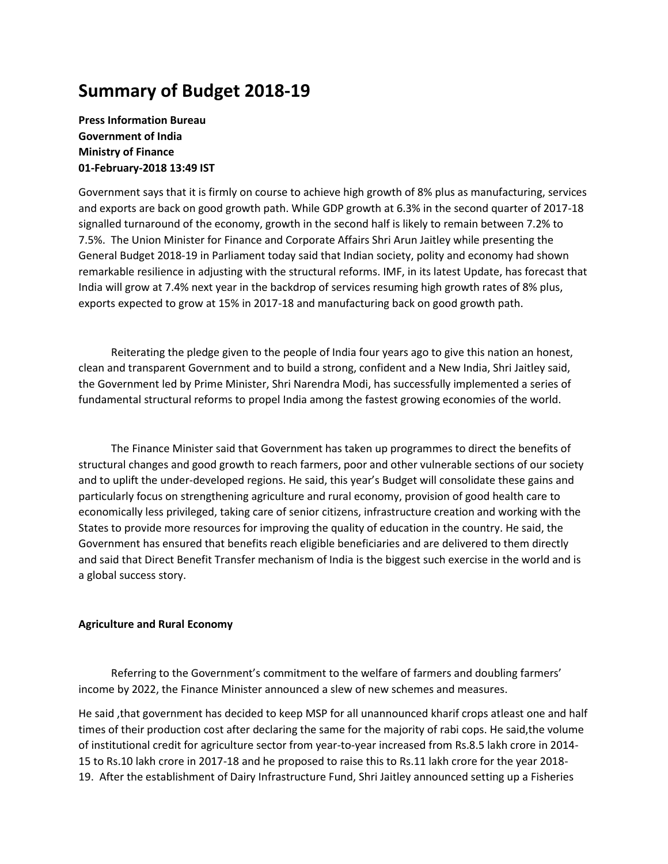# **Summary of Budget 2018-19**

**Press Information Bureau Government of India Ministry of Finance 01-February-2018 13:49 IST** 

Government says that it is firmly on course to achieve high growth of 8% plus as manufacturing, services and exports are back on good growth path. While GDP growth at 6.3% in the second quarter of 2017-18 signalled turnaround of the economy, growth in the second half is likely to remain between 7.2% to 7.5%. The Union Minister for Finance and Corporate Affairs Shri Arun Jaitley while presenting the General Budget 2018-19 in Parliament today said that Indian society, polity and economy had shown remarkable resilience in adjusting with the structural reforms. IMF, in its latest Update, has forecast that India will grow at 7.4% next year in the backdrop of services resuming high growth rates of 8% plus, exports expected to grow at 15% in 2017-18 and manufacturing back on good growth path.

 Reiterating the pledge given to the people of India four years ago to give this nation an honest, clean and transparent Government and to build a strong, confident and a New India, Shri Jaitley said, the Government led by Prime Minister, Shri Narendra Modi, has successfully implemented a series of fundamental structural reforms to propel India among the fastest growing economies of the world.

 The Finance Minister said that Government has taken up programmes to direct the benefits of structural changes and good growth to reach farmers, poor and other vulnerable sections of our society and to uplift the under-developed regions. He said, this year's Budget will consolidate these gains and particularly focus on strengthening agriculture and rural economy, provision of good health care to economically less privileged, taking care of senior citizens, infrastructure creation and working with the States to provide more resources for improving the quality of education in the country. He said, the Government has ensured that benefits reach eligible beneficiaries and are delivered to them directly and said that Direct Benefit Transfer mechanism of India is the biggest such exercise in the world and is a global success story.

## **Agriculture and Rural Economy**

 Referring to the Government's commitment to the welfare of farmers and doubling farmers' income by 2022, the Finance Minister announced a slew of new schemes and measures.

He said ,that government has decided to keep MSP for all unannounced kharif crops atleast one and half times of their production cost after declaring the same for the majority of rabi cops. He said,the volume of institutional credit for agriculture sector from year-to-year increased from Rs.8.5 lakh crore in 2014- 15 to Rs.10 lakh crore in 2017-18 and he proposed to raise this to Rs.11 lakh crore for the year 2018- 19. After the establishment of Dairy Infrastructure Fund, Shri Jaitley announced setting up a Fisheries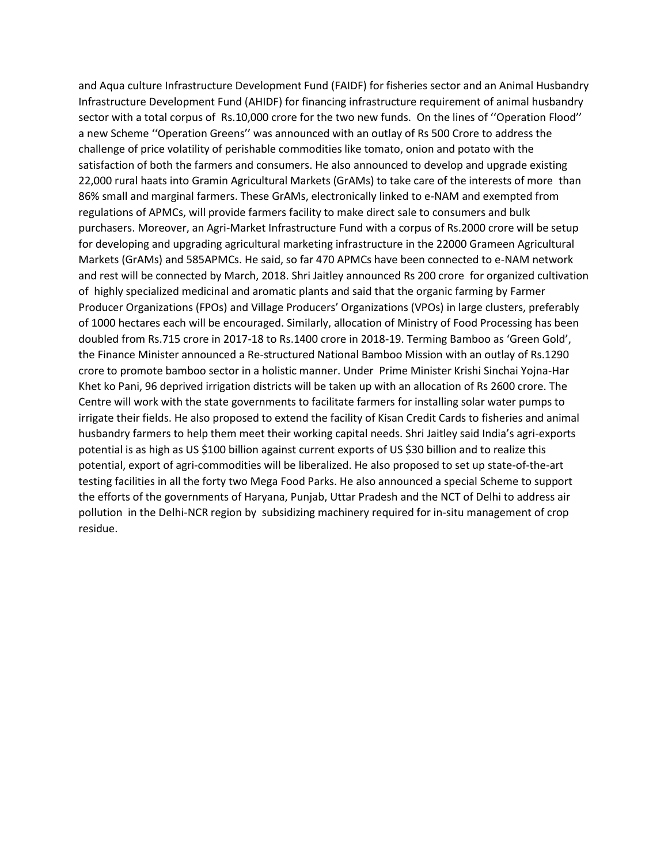and Aqua culture Infrastructure Development Fund (FAIDF) for fisheries sector and an Animal Husbandry Infrastructure Development Fund (AHIDF) for financing infrastructure requirement of animal husbandry sector with a total corpus of Rs.10,000 crore for the two new funds. On the lines of ''Operation Flood'' a new Scheme ''Operation Greens'' was announced with an outlay of Rs 500 Crore to address the challenge of price volatility of perishable commodities like tomato, onion and potato with the satisfaction of both the farmers and consumers. He also announced to develop and upgrade existing 22,000 rural haats into Gramin Agricultural Markets (GrAMs) to take care of the interests of more than 86% small and marginal farmers. These GrAMs, electronically linked to e-NAM and exempted from regulations of APMCs, will provide farmers facility to make direct sale to consumers and bulk purchasers. Moreover, an Agri-Market Infrastructure Fund with a corpus of Rs.2000 crore will be setup for developing and upgrading agricultural marketing infrastructure in the 22000 Grameen Agricultural Markets (GrAMs) and 585APMCs. He said, so far 470 APMCs have been connected to e-NAM network and rest will be connected by March, 2018. Shri Jaitley announced Rs 200 crore for organized cultivation of highly specialized medicinal and aromatic plants and said that the organic farming by Farmer Producer Organizations (FPOs) and Village Producers' Organizations (VPOs) in large clusters, preferably of 1000 hectares each will be encouraged. Similarly, allocation of Ministry of Food Processing has been doubled from Rs.715 crore in 2017-18 to Rs.1400 crore in 2018-19. Terming Bamboo as 'Green Gold', the Finance Minister announced a Re-structured National Bamboo Mission with an outlay of Rs.1290 crore to promote bamboo sector in a holistic manner. Under Prime Minister Krishi Sinchai Yojna-Har Khet ko Pani, 96 deprived irrigation districts will be taken up with an allocation of Rs 2600 crore. The Centre will work with the state governments to facilitate farmers for installing solar water pumps to irrigate their fields. He also proposed to extend the facility of Kisan Credit Cards to fisheries and animal husbandry farmers to help them meet their working capital needs. Shri Jaitley said India's agri-exports potential is as high as US \$100 billion against current exports of US \$30 billion and to realize this potential, export of agri-commodities will be liberalized. He also proposed to set up state-of-the-art testing facilities in all the forty two Mega Food Parks. He also announced a special Scheme to support the efforts of the governments of Haryana, Punjab, Uttar Pradesh and the NCT of Delhi to address air pollution in the Delhi-NCR region by subsidizing machinery required for in-situ management of crop residue.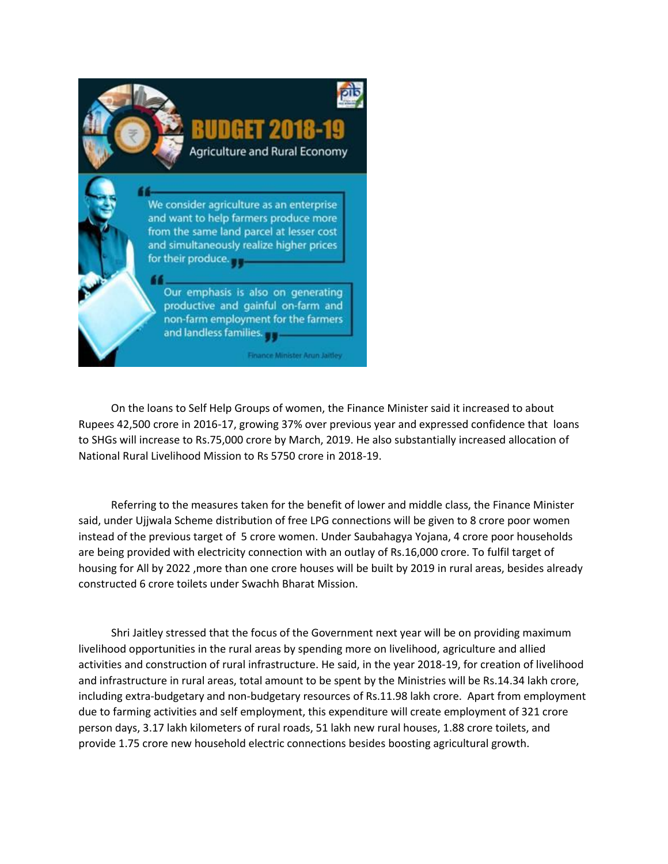

 On the loans to Self Help Groups of women, the Finance Minister said it increased to about Rupees 42,500 crore in 2016-17, growing 37% over previous year and expressed confidence that loans to SHGs will increase to Rs.75,000 crore by March, 2019. He also substantially increased allocation of National Rural Livelihood Mission to Rs 5750 crore in 2018-19.

 Referring to the measures taken for the benefit of lower and middle class, the Finance Minister said, under Ujjwala Scheme distribution of free LPG connections will be given to 8 crore poor women instead of the previous target of 5 crore women. Under Saubahagya Yojana, 4 crore poor households are being provided with electricity connection with an outlay of Rs.16,000 crore. To fulfil target of housing for All by 2022 ,more than one crore houses will be built by 2019 in rural areas, besides already constructed 6 crore toilets under Swachh Bharat Mission.

 Shri Jaitley stressed that the focus of the Government next year will be on providing maximum livelihood opportunities in the rural areas by spending more on livelihood, agriculture and allied activities and construction of rural infrastructure. He said, in the year 2018-19, for creation of livelihood and infrastructure in rural areas, total amount to be spent by the Ministries will be Rs.14.34 lakh crore, including extra-budgetary and non-budgetary resources of Rs.11.98 lakh crore. Apart from employment due to farming activities and self employment, this expenditure will create employment of 321 crore person days, 3.17 lakh kilometers of rural roads, 51 lakh new rural houses, 1.88 crore toilets, and provide 1.75 crore new household electric connections besides boosting agricultural growth.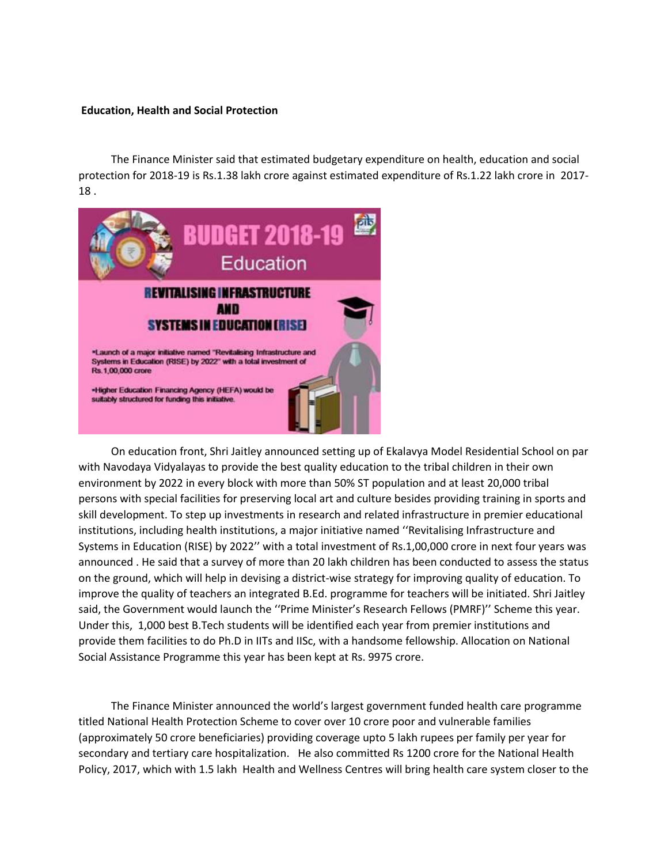#### **Education, Health and Social Protection**

 The Finance Minister said that estimated budgetary expenditure on health, education and social protection for 2018-19 is Rs.1.38 lakh crore against estimated expenditure of Rs.1.22 lakh crore in 2017- 18 .



 On education front, Shri Jaitley announced setting up of Ekalavya Model Residential School on par with Navodaya Vidyalayas to provide the best quality education to the tribal children in their own environment by 2022 in every block with more than 50% ST population and at least 20,000 tribal persons with special facilities for preserving local art and culture besides providing training in sports and skill development. To step up investments in research and related infrastructure in premier educational institutions, including health institutions, a major initiative named ''Revitalising Infrastructure and Systems in Education (RISE) by 2022'' with a total investment of Rs.1,00,000 crore in next four years was announced . He said that a survey of more than 20 lakh children has been conducted to assess the status on the ground, which will help in devising a district-wise strategy for improving quality of education. To improve the quality of teachers an integrated B.Ed. programme for teachers will be initiated. Shri Jaitley said, the Government would launch the ''Prime Minister's Research Fellows (PMRF)'' Scheme this year. Under this, 1,000 best B.Tech students will be identified each year from premier institutions and provide them facilities to do Ph.D in IITs and IISc, with a handsome fellowship. Allocation on National Social Assistance Programme this year has been kept at Rs. 9975 crore.

 The Finance Minister announced the world's largest government funded health care programme titled National Health Protection Scheme to cover over 10 crore poor and vulnerable families (approximately 50 crore beneficiaries) providing coverage upto 5 lakh rupees per family per year for secondary and tertiary care hospitalization. He also committed Rs 1200 crore for the National Health Policy, 2017, which with 1.5 lakh Health and Wellness Centres will bring health care system closer to the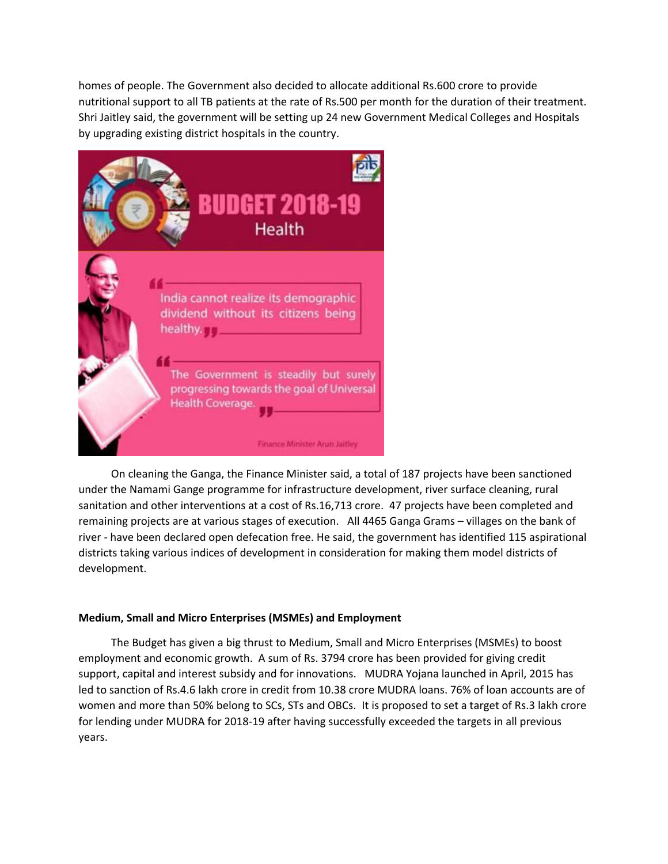homes of people. The Government also decided to allocate additional Rs.600 crore to provide nutritional support to all TB patients at the rate of Rs.500 per month for the duration of their treatment. Shri Jaitley said, the government will be setting up 24 new Government Medical Colleges and Hospitals by upgrading existing district hospitals in the country.



 On cleaning the Ganga, the Finance Minister said, a total of 187 projects have been sanctioned under the Namami Gange programme for infrastructure development, river surface cleaning, rural sanitation and other interventions at a cost of Rs.16,713 crore. 47 projects have been completed and remaining projects are at various stages of execution. All 4465 Ganga Grams – villages on the bank of river - have been declared open defecation free. He said, the government has identified 115 aspirational districts taking various indices of development in consideration for making them model districts of development.

# **Medium, Small and Micro Enterprises (MSMEs) and Employment**

 The Budget has given a big thrust to Medium, Small and Micro Enterprises (MSMEs) to boost employment and economic growth. A sum of Rs. 3794 crore has been provided for giving credit support, capital and interest subsidy and for innovations. MUDRA Yojana launched in April, 2015 has led to sanction of Rs.4.6 lakh crore in credit from 10.38 crore MUDRA loans. 76% of loan accounts are of women and more than 50% belong to SCs, STs and OBCs. It is proposed to set a target of Rs.3 lakh crore for lending under MUDRA for 2018-19 after having successfully exceeded the targets in all previous years.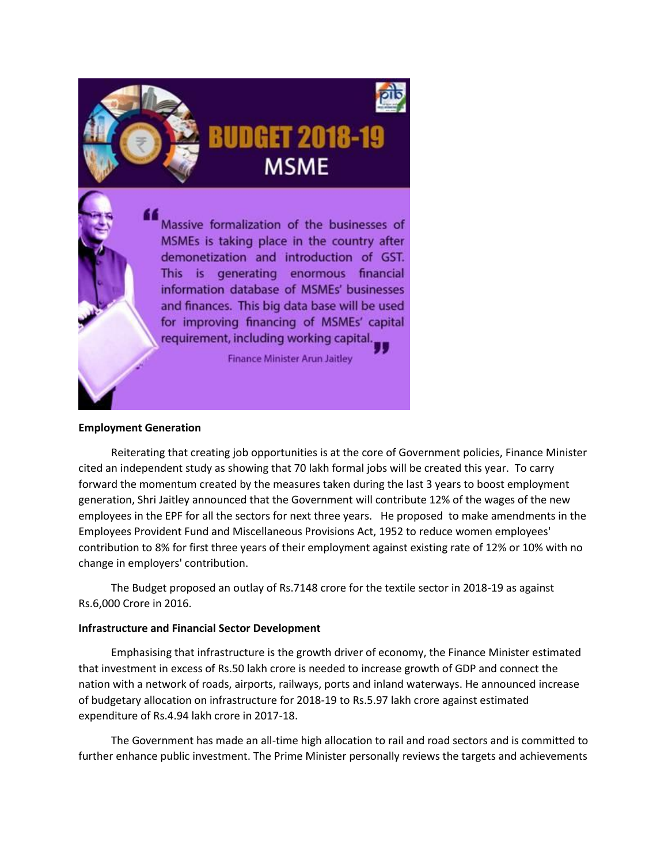

Massive formalization of the businesses of MSMEs is taking place in the country after demonetization and introduction of GST. This is generating enormous financial information database of MSMEs' businesses and finances. This big data base will be used for improving financing of MSMEs' capital requirement, including working capital.

**Finance Minister Arun Jaitley** 

## **Employment Generation**

 Reiterating that creating job opportunities is at the core of Government policies, Finance Minister cited an independent study as showing that 70 lakh formal jobs will be created this year. To carry forward the momentum created by the measures taken during the last 3 years to boost employment generation, Shri Jaitley announced that the Government will contribute 12% of the wages of the new employees in the EPF for all the sectors for next three years. He proposed to make amendments in the Employees Provident Fund and Miscellaneous Provisions Act, 1952 to reduce women employees' contribution to 8% for first three years of their employment against existing rate of 12% or 10% with no change in employers' contribution.

 The Budget proposed an outlay of Rs.7148 crore for the textile sector in 2018-19 as against Rs.6,000 Crore in 2016.

## **Infrastructure and Financial Sector Development**

 Emphasising that infrastructure is the growth driver of economy, the Finance Minister estimated that investment in excess of Rs.50 lakh crore is needed to increase growth of GDP and connect the nation with a network of roads, airports, railways, ports and inland waterways. He announced increase of budgetary allocation on infrastructure for 2018-19 to Rs.5.97 lakh crore against estimated expenditure of Rs.4.94 lakh crore in 2017-18.

 The Government has made an all-time high allocation to rail and road sectors and is committed to further enhance public investment. The Prime Minister personally reviews the targets and achievements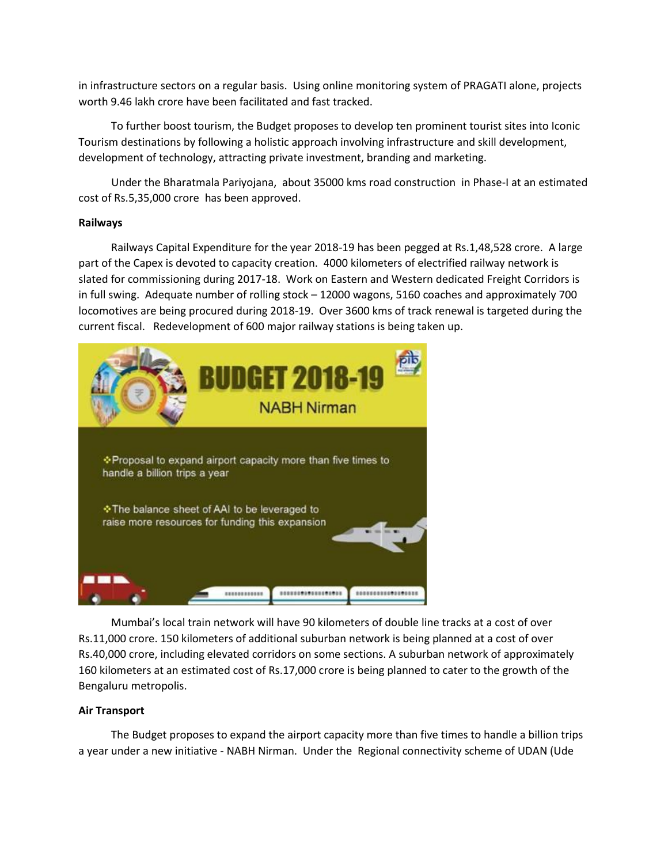in infrastructure sectors on a regular basis. Using online monitoring system of PRAGATI alone, projects worth 9.46 lakh crore have been facilitated and fast tracked.

 To further boost tourism, the Budget proposes to develop ten prominent tourist sites into Iconic Tourism destinations by following a holistic approach involving infrastructure and skill development, development of technology, attracting private investment, branding and marketing.

 Under the Bharatmala Pariyojana, about 35000 kms road construction in Phase-I at an estimated cost of Rs.5,35,000 crore has been approved.

## **Railways**

 Railways Capital Expenditure for the year 2018-19 has been pegged at Rs.1,48,528 crore. A large part of the Capex is devoted to capacity creation. 4000 kilometers of electrified railway network is slated for commissioning during 2017-18. Work on Eastern and Western dedicated Freight Corridors is in full swing. Adequate number of rolling stock – 12000 wagons, 5160 coaches and approximately 700 locomotives are being procured during 2018-19. Over 3600 kms of track renewal is targeted during the current fiscal. Redevelopment of 600 major railway stations is being taken up.



 Mumbai's local train network will have 90 kilometers of double line tracks at a cost of over Rs.11,000 crore. 150 kilometers of additional suburban network is being planned at a cost of over Rs.40,000 crore, including elevated corridors on some sections. A suburban network of approximately 160 kilometers at an estimated cost of Rs.17,000 crore is being planned to cater to the growth of the Bengaluru metropolis.

# **Air Transport**

 The Budget proposes to expand the airport capacity more than five times to handle a billion trips a year under a new initiative - NABH Nirman. Under the Regional connectivity scheme of UDAN (Ude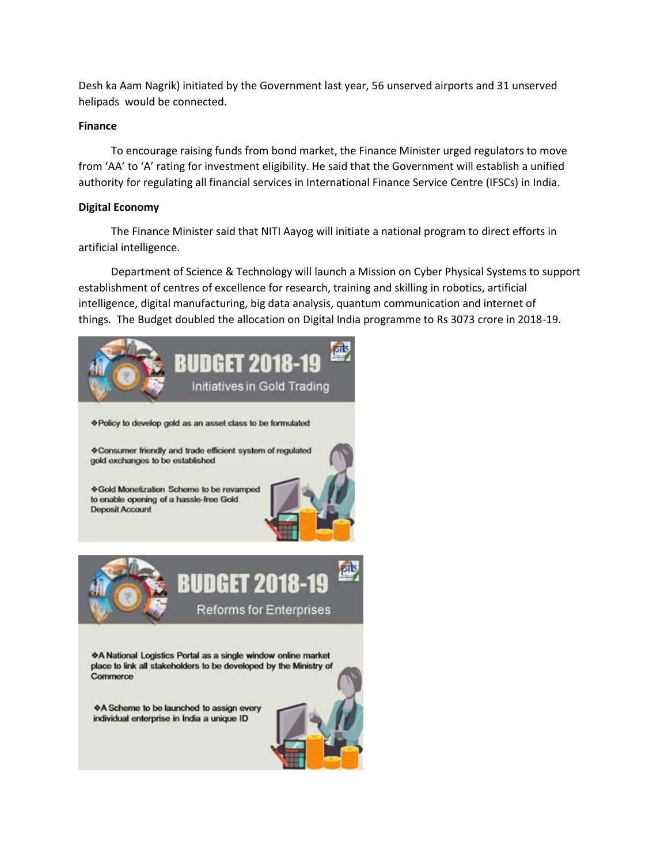Desh ka Aam Nagrik) initiated by the Government last year, 56 unserved airports and 31 unserved helipads would be connected.

## **Finance**

 To encourage raising funds from bond market, the Finance Minister urged regulators to move from 'AA' to 'A' rating for investment eligibility. He said that the Government will establish a unified authority for regulating all financial services in International Finance Service Centre (IFSCs) in India.

# **Digital Economy**

 The Finance Minister said that NITI Aayog will initiate a national program to direct efforts in artificial intelligence.

 Department of Science & Technology will launch a Mission on Cyber Physical Systems to support establishment of centres of excellence for research, training and skilling in robotics, artificial intelligence, digital manufacturing, big data analysis, quantum communication and internet of things. The Budget doubled the allocation on Digital India programme to Rs 3073 crore in 2018-19.



♦ Gold Monetization Scheme to be revamped to enable opening of a hassle-free Gold **Deposit Account** 





◆A National Logistics Portal as a single window online market place to link all stakeholders to be developed by the Ministry of Commerce

♦ A Scheme to be launched to assign every individual enterprise in India a unique ID

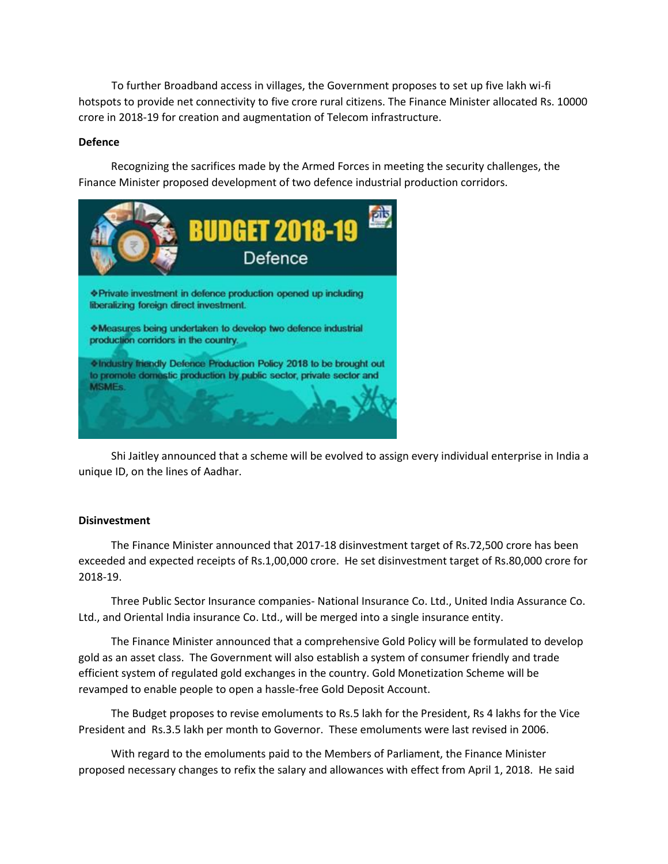To further Broadband access in villages, the Government proposes to set up five lakh wi-fi hotspots to provide net connectivity to five crore rural citizens. The Finance Minister allocated Rs. 10000 crore in 2018-19 for creation and augmentation of Telecom infrastructure.

## **Defence**

 Recognizing the sacrifices made by the Armed Forces in meeting the security challenges, the Finance Minister proposed development of two defence industrial production corridors.



 Shi Jaitley announced that a scheme will be evolved to assign every individual enterprise in India a unique ID, on the lines of Aadhar.

## **Disinvestment**

 The Finance Minister announced that 2017-18 disinvestment target of Rs.72,500 crore has been exceeded and expected receipts of Rs.1,00,000 crore. He set disinvestment target of Rs.80,000 crore for 2018-19.

 Three Public Sector Insurance companies- National Insurance Co. Ltd., United India Assurance Co. Ltd., and Oriental India insurance Co. Ltd., will be merged into a single insurance entity.

 The Finance Minister announced that a comprehensive Gold Policy will be formulated to develop gold as an asset class. The Government will also establish a system of consumer friendly and trade efficient system of regulated gold exchanges in the country. Gold Monetization Scheme will be revamped to enable people to open a hassle-free Gold Deposit Account.

 The Budget proposes to revise emoluments to Rs.5 lakh for the President, Rs 4 lakhs for the Vice President and Rs.3.5 lakh per month to Governor. These emoluments were last revised in 2006.

 With regard to the emoluments paid to the Members of Parliament, the Finance Minister proposed necessary changes to refix the salary and allowances with effect from April 1, 2018. He said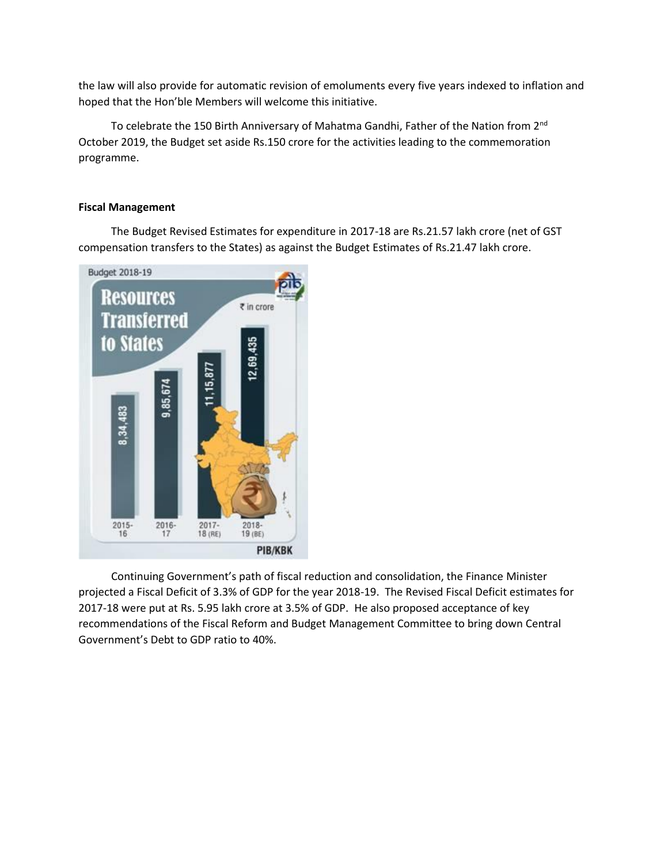the law will also provide for automatic revision of emoluments every five years indexed to inflation and hoped that the Hon'ble Members will welcome this initiative.

 To celebrate the 150 Birth Anniversary of Mahatma Gandhi, Father of the Nation from 2nd October 2019, the Budget set aside Rs.150 crore for the activities leading to the commemoration programme.

## **Fiscal Management**

 The Budget Revised Estimates for expenditure in 2017-18 are Rs.21.57 lakh crore (net of GST compensation transfers to the States) as against the Budget Estimates of Rs.21.47 lakh crore.



 Continuing Government's path of fiscal reduction and consolidation, the Finance Minister projected a Fiscal Deficit of 3.3% of GDP for the year 2018-19. The Revised Fiscal Deficit estimates for 2017-18 were put at Rs. 5.95 lakh crore at 3.5% of GDP. He also proposed acceptance of key recommendations of the Fiscal Reform and Budget Management Committee to bring down Central Government's Debt to GDP ratio to 40%.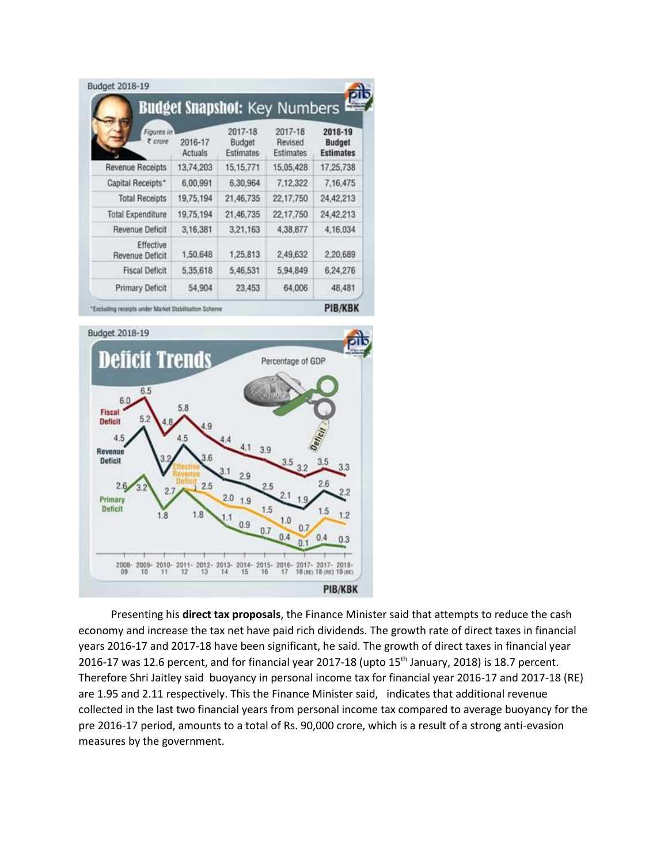|                                     |                           |                                              | <b>Budget Snapshot: Key Numbers</b>    |                                                           |  |
|-------------------------------------|---------------------------|----------------------------------------------|----------------------------------------|-----------------------------------------------------------|--|
| Figures in<br>e crore               | 2016-17<br><b>Actuals</b> | 2017-18<br><b>Budget</b><br><b>Estimates</b> | 2017-18<br>Revised<br><b>Estimates</b> | 2018-19<br><b>Budget</b><br><b>Estimates</b><br>17,25,738 |  |
| <b>Revenue Receipts</b>             | 13,74,203                 | 15, 15, 771                                  | 15,05,428                              |                                                           |  |
| Capital Receipts*                   | 6,00,991                  | 6,30,964                                     | 7,12,322                               | 7,16,475                                                  |  |
| <b>Total Receipts</b>               | 19,75,194                 | 21,46,735                                    | 22,17,750                              | 24,42,213                                                 |  |
| <b>Total Expenditure</b>            | 19,75,194                 | 21,46,735                                    | 22,17,750                              | 24,42,213                                                 |  |
| <b>Revenue Deficit</b>              | 3,16,381                  | 3,21,163                                     | 4,38,877                               | 4,16,034                                                  |  |
| Effective<br><b>Revenue Deficit</b> | 1,50,648                  | 1,25,813                                     | 2,49,632                               | 2,20,689                                                  |  |
| <b>Fiscal Deficit</b>               | 5,35,618                  | 5,46,531                                     | 5,94,849                               | 6.24.276                                                  |  |
| <b>Primary Deficit</b>              | 54,904                    | 23,453                                       | 64,006                                 | 48,481                                                    |  |

Excluding receipts under Market Stab

**PIB/KBK** 



 Presenting his **direct tax proposals**, the Finance Minister said that attempts to reduce the cash economy and increase the tax net have paid rich dividends. The growth rate of direct taxes in financial years 2016-17 and 2017-18 have been significant, he said. The growth of direct taxes in financial year 2016-17 was 12.6 percent, and for financial year 2017-18 (upto 15<sup>th</sup> January, 2018) is 18.7 percent. Therefore Shri Jaitley said buoyancy in personal income tax for financial year 2016-17 and 2017-18 (RE) are 1.95 and 2.11 respectively. This the Finance Minister said, indicates that additional revenue collected in the last two financial years from personal income tax compared to average buoyancy for the pre 2016-17 period, amounts to a total of Rs. 90,000 crore, which is a result of a strong anti-evasion measures by the government.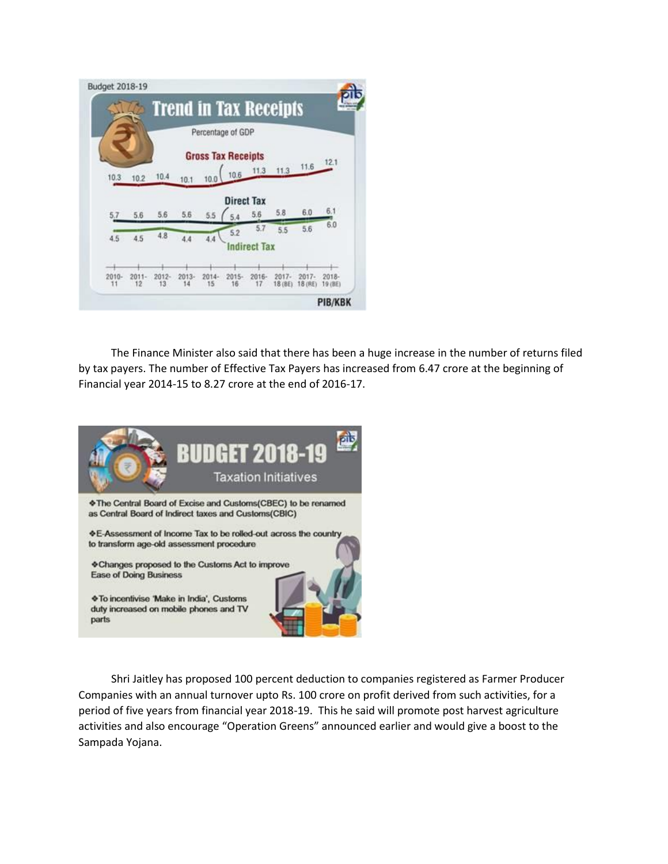|          |                |                |               | Percentage of GDP         |                   |                     |                    |                       |                     |
|----------|----------------|----------------|---------------|---------------------------|-------------------|---------------------|--------------------|-----------------------|---------------------|
|          |                |                |               | <b>Gross Tax Receipts</b> |                   |                     |                    |                       |                     |
| 10.3     | 10.2           | 10.4           | 10.1          | 10.0                      | 10.6              | 11.3                |                    | $11.3$ $11.6$ $12.1$  |                     |
|          |                |                |               |                           | <b>Direct Tax</b> |                     |                    |                       |                     |
| 5.7      | 5.6            | 5.6            | 5.6           | 5.5                       | 5.4               | 5.6                 | 5.8                | 6.0.                  | 6.1<br>6.0          |
| 4.5      | 4.5            | 4.8            |               |                           | 5.2               | 5.7                 | 5.5                | 5.6                   |                     |
|          |                |                | 4.4           | 4.4                       |                   | <b>Indirect Tax</b> |                    |                       |                     |
|          |                |                |               |                           |                   |                     |                    |                       |                     |
| $2010 -$ | $2011 -$<br>12 | $2012 -$<br>13 | $2013-$<br>14 | $2014 -$<br>15            | $2015 -$<br>16    | $2016 -$<br>17      | $2017 -$<br>18(8E) | $2017 -$<br>$18$ (RE) | $2018 -$<br>19 (BE) |

 The Finance Minister also said that there has been a huge increase in the number of returns filed by tax payers. The number of Effective Tax Payers has increased from 6.47 crore at the beginning of Financial year 2014-15 to 8.27 crore at the end of 2016-17.



 Shri Jaitley has proposed 100 percent deduction to companies registered as Farmer Producer Companies with an annual turnover upto Rs. 100 crore on profit derived from such activities, for a period of five years from financial year 2018-19. This he said will promote post harvest agriculture activities and also encourage "Operation Greens" announced earlier and would give a boost to the Sampada Yojana.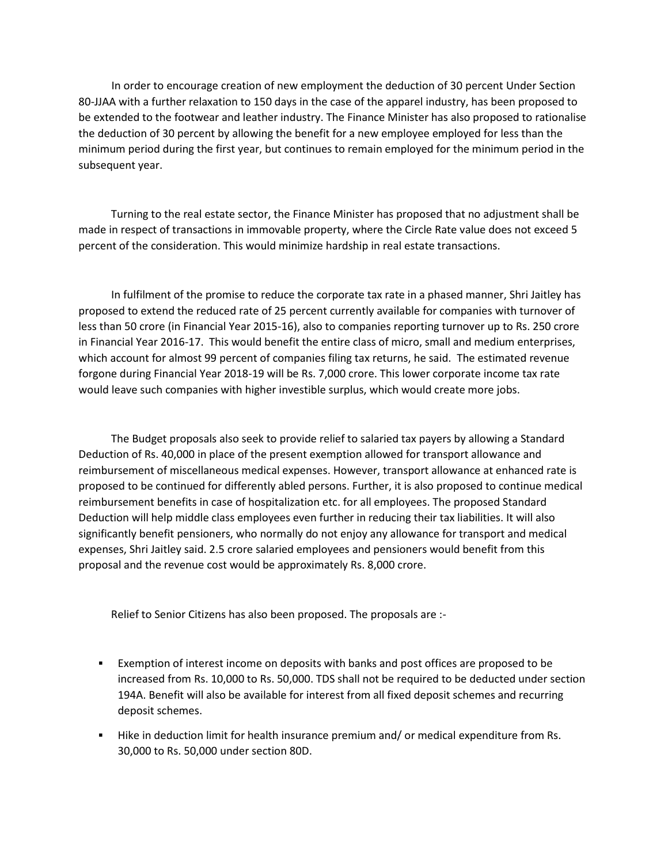In order to encourage creation of new employment the deduction of 30 percent Under Section 80-JJAA with a further relaxation to 150 days in the case of the apparel industry, has been proposed to be extended to the footwear and leather industry. The Finance Minister has also proposed to rationalise the deduction of 30 percent by allowing the benefit for a new employee employed for less than the minimum period during the first year, but continues to remain employed for the minimum period in the subsequent year.

 Turning to the real estate sector, the Finance Minister has proposed that no adjustment shall be made in respect of transactions in immovable property, where the Circle Rate value does not exceed 5 percent of the consideration. This would minimize hardship in real estate transactions.

 In fulfilment of the promise to reduce the corporate tax rate in a phased manner, Shri Jaitley has proposed to extend the reduced rate of 25 percent currently available for companies with turnover of less than 50 crore (in Financial Year 2015-16), also to companies reporting turnover up to Rs. 250 crore in Financial Year 2016-17. This would benefit the entire class of micro, small and medium enterprises, which account for almost 99 percent of companies filing tax returns, he said. The estimated revenue forgone during Financial Year 2018-19 will be Rs. 7,000 crore. This lower corporate income tax rate would leave such companies with higher investible surplus, which would create more jobs.

 The Budget proposals also seek to provide relief to salaried tax payers by allowing a Standard Deduction of Rs. 40,000 in place of the present exemption allowed for transport allowance and reimbursement of miscellaneous medical expenses. However, transport allowance at enhanced rate is proposed to be continued for differently abled persons. Further, it is also proposed to continue medical reimbursement benefits in case of hospitalization etc. for all employees. The proposed Standard Deduction will help middle class employees even further in reducing their tax liabilities. It will also significantly benefit pensioners, who normally do not enjoy any allowance for transport and medical expenses, Shri Jaitley said. 2.5 crore salaried employees and pensioners would benefit from this proposal and the revenue cost would be approximately Rs. 8,000 crore.

Relief to Senior Citizens has also been proposed. The proposals are :-

- Exemption of interest income on deposits with banks and post offices are proposed to be increased from Rs. 10,000 to Rs. 50,000. TDS shall not be required to be deducted under section 194A. Benefit will also be available for interest from all fixed deposit schemes and recurring deposit schemes.
- Hike in deduction limit for health insurance premium and/ or medical expenditure from Rs. 30,000 to Rs. 50,000 under section 80D.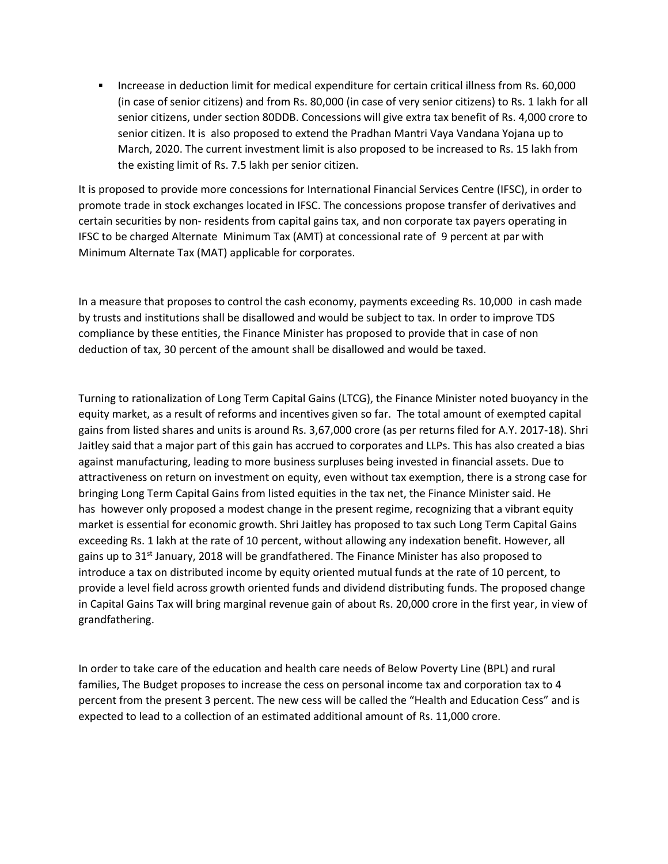Increease in deduction limit for medical expenditure for certain critical illness from Rs. 60,000 (in case of senior citizens) and from Rs. 80,000 (in case of very senior citizens) to Rs. 1 lakh for all senior citizens, under section 80DDB. Concessions will give extra tax benefit of Rs. 4,000 crore to senior citizen. It is also proposed to extend the Pradhan Mantri Vaya Vandana Yojana up to March, 2020. The current investment limit is also proposed to be increased to Rs. 15 lakh from the existing limit of Rs. 7.5 lakh per senior citizen.

It is proposed to provide more concessions for International Financial Services Centre (IFSC), in order to promote trade in stock exchanges located in IFSC. The concessions propose transfer of derivatives and certain securities by non- residents from capital gains tax, and non corporate tax payers operating in IFSC to be charged Alternate Minimum Tax (AMT) at concessional rate of 9 percent at par with Minimum Alternate Tax (MAT) applicable for corporates.

In a measure that proposes to control the cash economy, payments exceeding Rs. 10,000 in cash made by trusts and institutions shall be disallowed and would be subject to tax. In order to improve TDS compliance by these entities, the Finance Minister has proposed to provide that in case of non deduction of tax, 30 percent of the amount shall be disallowed and would be taxed.

Turning to rationalization of Long Term Capital Gains (LTCG), the Finance Minister noted buoyancy in the equity market, as a result of reforms and incentives given so far. The total amount of exempted capital gains from listed shares and units is around Rs. 3,67,000 crore (as per returns filed for A.Y. 2017-18). Shri Jaitley said that a major part of this gain has accrued to corporates and LLPs. This has also created a bias against manufacturing, leading to more business surpluses being invested in financial assets. Due to attractiveness on return on investment on equity, even without tax exemption, there is a strong case for bringing Long Term Capital Gains from listed equities in the tax net, the Finance Minister said. He has however only proposed a modest change in the present regime, recognizing that a vibrant equity market is essential for economic growth. Shri Jaitley has proposed to tax such Long Term Capital Gains exceeding Rs. 1 lakh at the rate of 10 percent, without allowing any indexation benefit. However, all gains up to 31<sup>st</sup> January, 2018 will be grandfathered. The Finance Minister has also proposed to introduce a tax on distributed income by equity oriented mutual funds at the rate of 10 percent, to provide a level field across growth oriented funds and dividend distributing funds. The proposed change in Capital Gains Tax will bring marginal revenue gain of about Rs. 20,000 crore in the first year, in view of grandfathering.

In order to take care of the education and health care needs of Below Poverty Line (BPL) and rural families, The Budget proposes to increase the cess on personal income tax and corporation tax to 4 percent from the present 3 percent. The new cess will be called the "Health and Education Cess" and is expected to lead to a collection of an estimated additional amount of Rs. 11,000 crore.